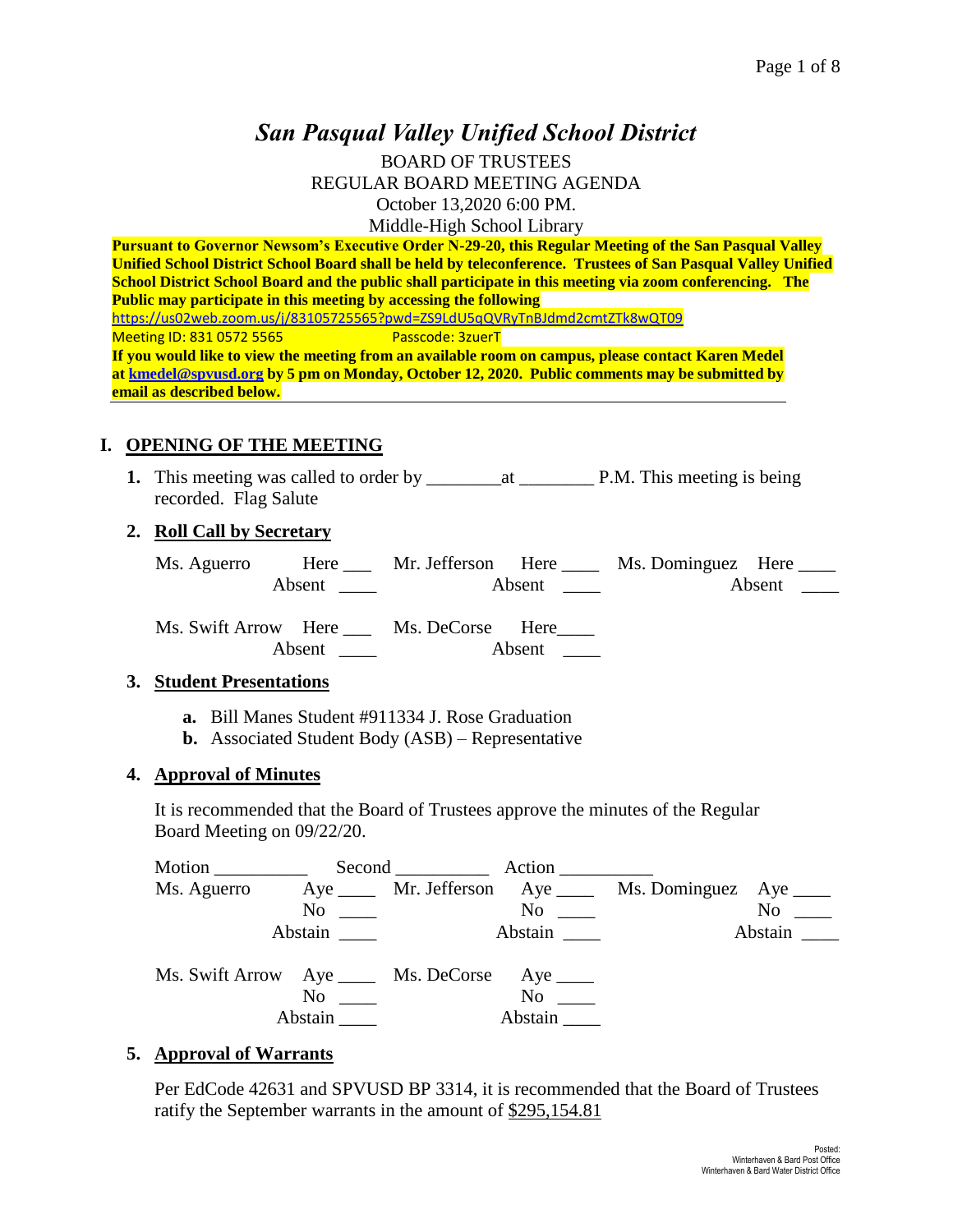# *San Pasqual Valley Unified School District*

BOARD OF TRUSTEES REGULAR BOARD MEETING AGENDA October 13,2020 6:00 PM. Middle-High School Library

**Pursuant to Governor Newsom's Executive Order N-29-20, this Regular Meeting of the San Pasqual Valley Unified School District School Board shall be held by teleconference. Trustees of San Pasqual Valley Unified School District School Board and the public shall participate in this meeting via zoom conferencing. The Public may participate in this meeting by accessing the following**  <https://us02web.zoom.us/j/83105725565?pwd=ZS9LdU5qQVRyTnBJdmd2cmtZTk8wQT09> Meeting ID: 831 0572 5565 Passcode: 3zuerT **If you would like to view the meeting from an available room on campus, please contact Karen Medel a[t kmedel@spvusd.org](mailto:kmedel@spvusd.org) by 5 pm on Monday, October 12, 2020. Public comments may be submitted by email as described below.** 

### **I. OPENING OF THE MEETING**

**1.** This meeting was called to order by \_\_\_\_\_\_\_\_at \_\_\_\_\_\_\_\_ P.M. This meeting is being recorded. Flag Salute

#### **2. Roll Call by Secretary**

| Ms. Aguerro | Here   | Mr. Jefferson Here |  | Ms. Dominguez Here _____ |        |
|-------------|--------|--------------------|--|--------------------------|--------|
|             | Absent | Absent             |  |                          | Absent |

Ms. Swift Arrow Here \_\_\_ Ms. DeCorse Here\_\_\_\_ Absent \_\_\_\_\_ Absent \_\_\_\_

#### **3. Student Presentations**

- **a.** Bill Manes Student #911334 J. Rose Graduation
- **b.** Associated Student Body (ASB) Representative

### **4. Approval of Minutes**

It is recommended that the Board of Trustees approve the minutes of the Regular Board Meeting on 09/22/20.

| Motion      |                                                 | Second Action                                                                                                                                                                                                                  |                                                            |                  |
|-------------|-------------------------------------------------|--------------------------------------------------------------------------------------------------------------------------------------------------------------------------------------------------------------------------------|------------------------------------------------------------|------------------|
| Ms. Aguerro |                                                 |                                                                                                                                                                                                                                | Aye ______ Mr. Jefferson Aye _____ Ms. Dominguez Aye _____ |                  |
|             | $No \ \_$                                       | No and the same state of the state of the state of the state of the state of the state of the state of the state of the state of the state of the state of the state of the state of the state of the state of the state of th |                                                            | $No \ \_$        |
|             | Abstain                                         |                                                                                                                                                                                                                                |                                                            | Abstain $\qquad$ |
|             | Ms. Swift Arrow Aye _____ Ms. DeCorse Aye _____ |                                                                                                                                                                                                                                |                                                            |                  |
|             | $\mathrm{No}$ $\_\_$                            | No<br>$\mathcal{L} = \{ \frac{1}{2} \mathcal{L} \}$ .                                                                                                                                                                          |                                                            |                  |
|             | Abstain                                         | Abstain                                                                                                                                                                                                                        |                                                            |                  |

#### **5. Approval of Warrants**

Per EdCode 42631 and SPVUSD BP 3314, it is recommended that the Board of Trustees ratify the September warrants in the amount of \$295,154.81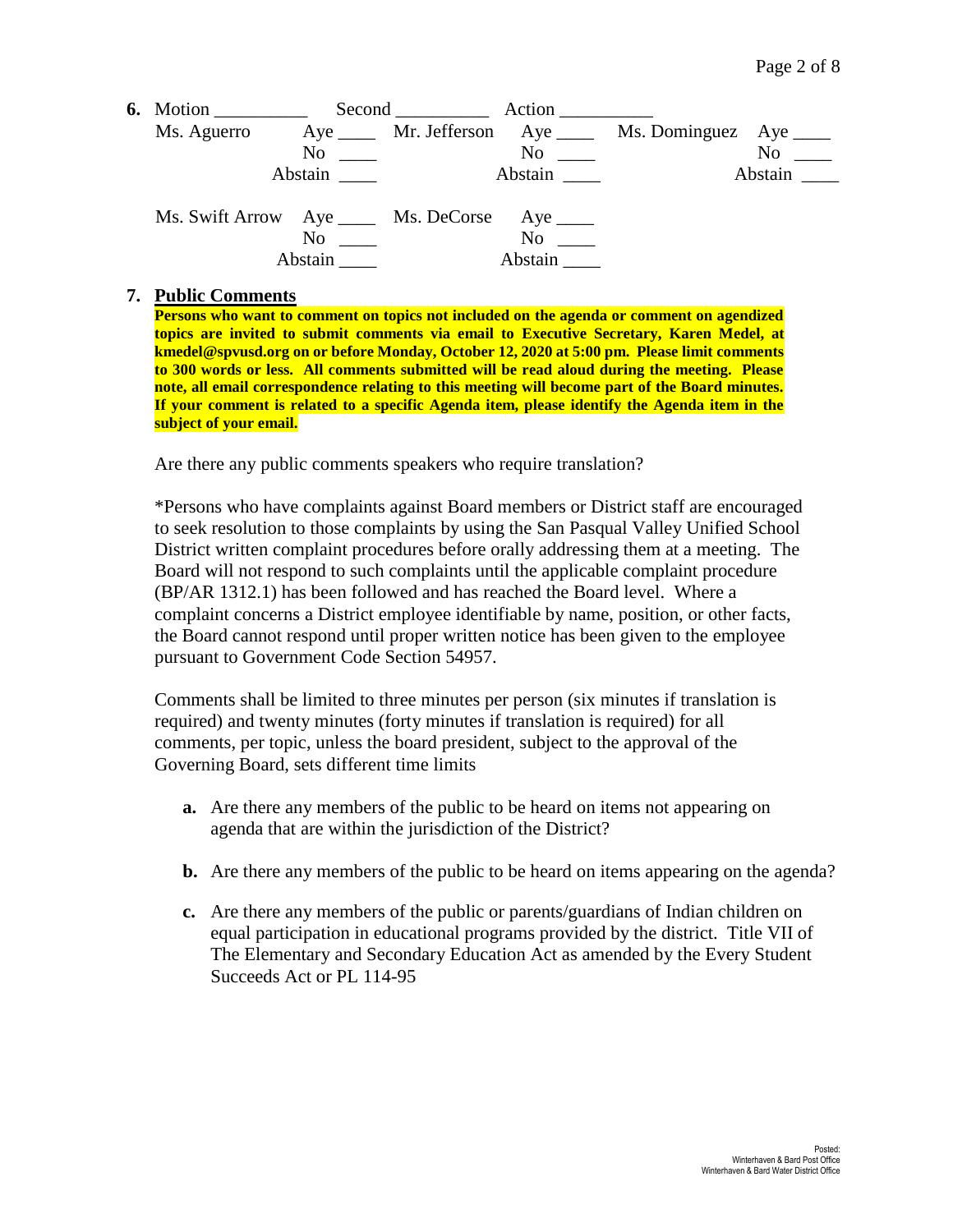| 6. Motion $\qquad \qquad$                      |                                               | Second Action |                                                                                                                  |                                                            |                  |
|------------------------------------------------|-----------------------------------------------|---------------|------------------------------------------------------------------------------------------------------------------|------------------------------------------------------------|------------------|
| Ms. Aguerro                                    |                                               |               |                                                                                                                  | Aye ______ Mr. Jefferson Aye _____ Ms. Dominguez Aye _____ |                  |
|                                                | $\mathrm{No}$ $\_\_$                          |               | No and the North States of the North States and the North States of the North States and the North States and Ta |                                                            | $No \ \_$        |
|                                                | Abstain                                       |               | Abstain                                                                                                          |                                                            | Abstain $\qquad$ |
| Ms. Swift Arrow Aye _____ Ms. DeCorse Aye ____ | N <sub>0</sub><br>and the state of<br>Abstain |               | $No \_\_$<br>Abstain                                                                                             |                                                            |                  |

#### **7. Public Comments**

**Persons who want to comment on topics not included on the agenda or comment on agendized topics are invited to submit comments via email to Executive Secretary, Karen Medel, at kmedel@spvusd.org on or before Monday, October 12, 2020 at 5:00 pm. Please limit comments to 300 words or less. All comments submitted will be read aloud during the meeting. Please note, all email correspondence relating to this meeting will become part of the Board minutes. If your comment is related to a specific Agenda item, please identify the Agenda item in the subject of your email.**

Are there any public comments speakers who require translation?

\*Persons who have complaints against Board members or District staff are encouraged to seek resolution to those complaints by using the San Pasqual Valley Unified School District written complaint procedures before orally addressing them at a meeting. The Board will not respond to such complaints until the applicable complaint procedure (BP/AR 1312.1) has been followed and has reached the Board level. Where a complaint concerns a District employee identifiable by name, position, or other facts, the Board cannot respond until proper written notice has been given to the employee pursuant to Government Code Section 54957.

Comments shall be limited to three minutes per person (six minutes if translation is required) and twenty minutes (forty minutes if translation is required) for all comments, per topic, unless the board president, subject to the approval of the Governing Board, sets different time limits

- **a.** Are there any members of the public to be heard on items not appearing on agenda that are within the jurisdiction of the District?
- **b.** Are there any members of the public to be heard on items appearing on the agenda?
- **c.** Are there any members of the public or parents/guardians of Indian children on equal participation in educational programs provided by the district. Title VII of The Elementary and Secondary Education Act as amended by the Every Student Succeeds Act or PL 114-95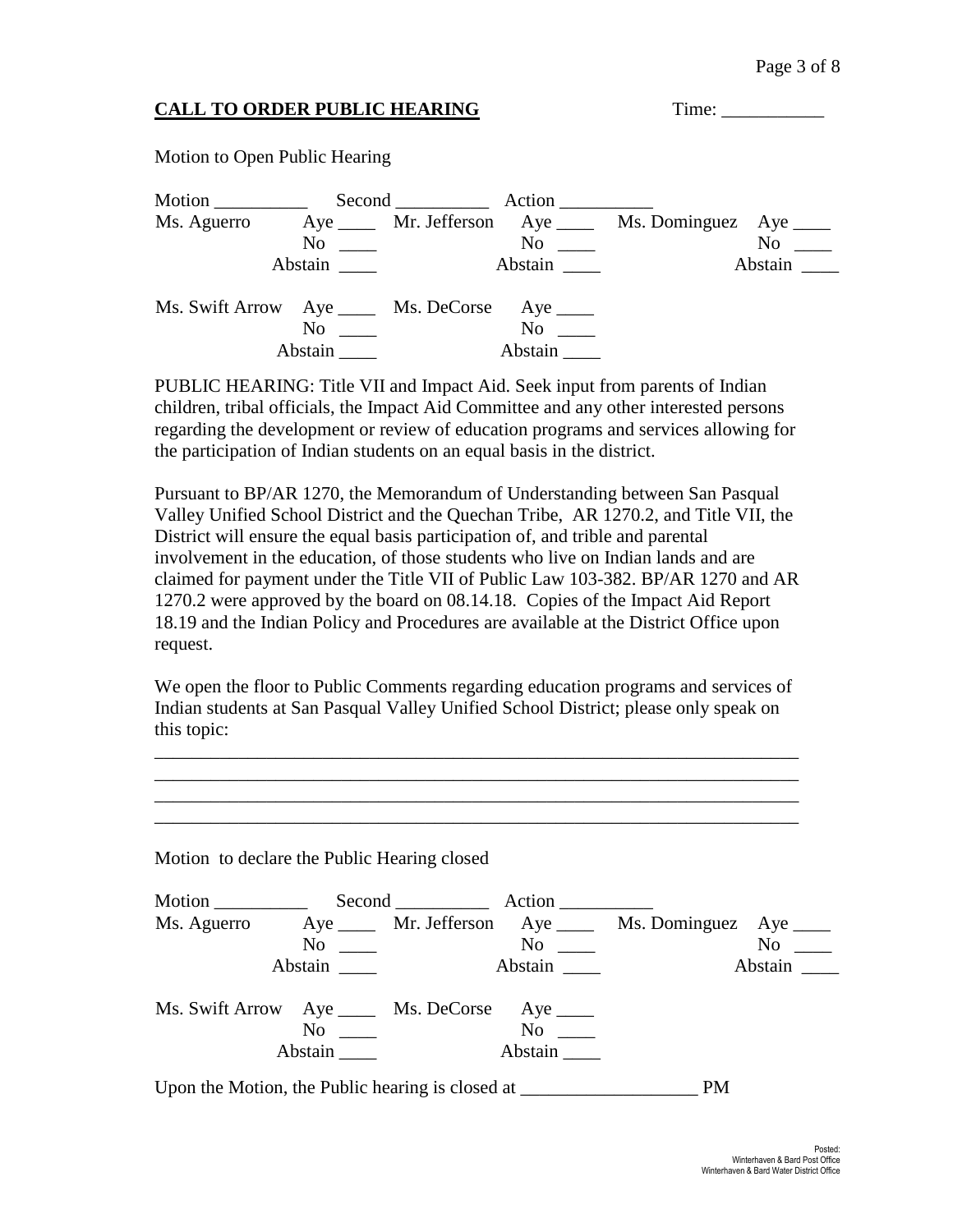# **CALL TO ORDER PUBLIC HEARING** Time: \_\_\_\_\_\_\_\_\_\_\_

Motion to Open Public Hearing

| Motion ___________                             |                            | Second Action |                |                                                            |                  |
|------------------------------------------------|----------------------------|---------------|----------------|------------------------------------------------------------|------------------|
| Ms. Aguerro                                    |                            |               |                | Aye ______ Mr. Jefferson Aye _____ Ms. Dominguez Aye _____ |                  |
|                                                | No<br><u>and the state</u> |               | $No \ \_$      |                                                            | $No \ \_$        |
|                                                | Abstain                    | Abstain       |                |                                                            | Abstain $\qquad$ |
| Ms. Swift Arrow Aye _____ Ms. DeCorse Aye ____ |                            |               |                |                                                            |                  |
|                                                | N <sub>0</sub>             |               | N <sub>0</sub> |                                                            |                  |
|                                                | Abstain                    |               | Abstain        |                                                            |                  |

PUBLIC HEARING: Title VII and Impact Aid. Seek input from parents of Indian children, tribal officials, the Impact Aid Committee and any other interested persons regarding the development or review of education programs and services allowing for the participation of Indian students on an equal basis in the district.

Pursuant to BP/AR 1270, the Memorandum of Understanding between San Pasqual Valley Unified School District and the Quechan Tribe, AR 1270.2, and Title VII, the District will ensure the equal basis participation of, and trible and parental involvement in the education, of those students who live on Indian lands and are claimed for payment under the Title VII of Public Law 103-382. BP/AR 1270 and AR 1270.2 were approved by the board on 08.14.18. Copies of the Impact Aid Report 18.19 and the Indian Policy and Procedures are available at the District Office upon request.

We open the floor to Public Comments regarding education programs and services of Indian students at San Pasqual Valley Unified School District; please only speak on this topic:

\_\_\_\_\_\_\_\_\_\_\_\_\_\_\_\_\_\_\_\_\_\_\_\_\_\_\_\_\_\_\_\_\_\_\_\_\_\_\_\_\_\_\_\_\_\_\_\_\_\_\_\_\_\_\_\_\_\_\_\_\_\_\_\_\_\_\_\_\_ \_\_\_\_\_\_\_\_\_\_\_\_\_\_\_\_\_\_\_\_\_\_\_\_\_\_\_\_\_\_\_\_\_\_\_\_\_\_\_\_\_\_\_\_\_\_\_\_\_\_\_\_\_\_\_\_\_\_\_\_\_\_\_\_\_\_\_\_\_ \_\_\_\_\_\_\_\_\_\_\_\_\_\_\_\_\_\_\_\_\_\_\_\_\_\_\_\_\_\_\_\_\_\_\_\_\_\_\_\_\_\_\_\_\_\_\_\_\_\_\_\_\_\_\_\_\_\_\_\_\_\_\_\_\_\_\_\_\_

\_\_\_\_\_\_\_\_\_\_\_\_\_\_\_\_\_\_\_\_\_\_\_\_\_\_\_\_\_\_\_\_\_\_\_\_\_\_\_\_\_\_\_\_\_\_\_\_\_\_\_\_\_\_\_\_\_\_\_\_\_\_\_\_\_\_\_\_\_ Motion to declare the Public Hearing closed Motion \_\_\_\_\_\_\_\_\_\_ Second \_\_\_\_\_\_\_\_\_\_ Action \_\_\_\_\_\_\_\_\_\_ Ms. Aguerro Aye Mr. Jefferson Aye Ms. Dominguez Aye No \_\_\_\_ No \_\_\_ No \_\_\_ No \_\_\_ Abstain \_\_\_\_ Abstain \_\_\_ Abstain \_\_\_ Abstain \_\_\_ Ms. Swift Arrow Aye \_\_\_\_ Ms. DeCorse Aye \_\_\_\_\_<br>No \_\_\_\_\_ Ms. Only No \_\_\_\_\_ No \_\_\_\_ No \_\_\_\_ Abstain \_\_\_\_ Abstain \_\_\_ Upon the Motion, the Public hearing is closed at \_\_\_\_\_\_\_\_\_\_\_\_\_\_\_\_\_\_\_\_\_\_\_\_\_ PM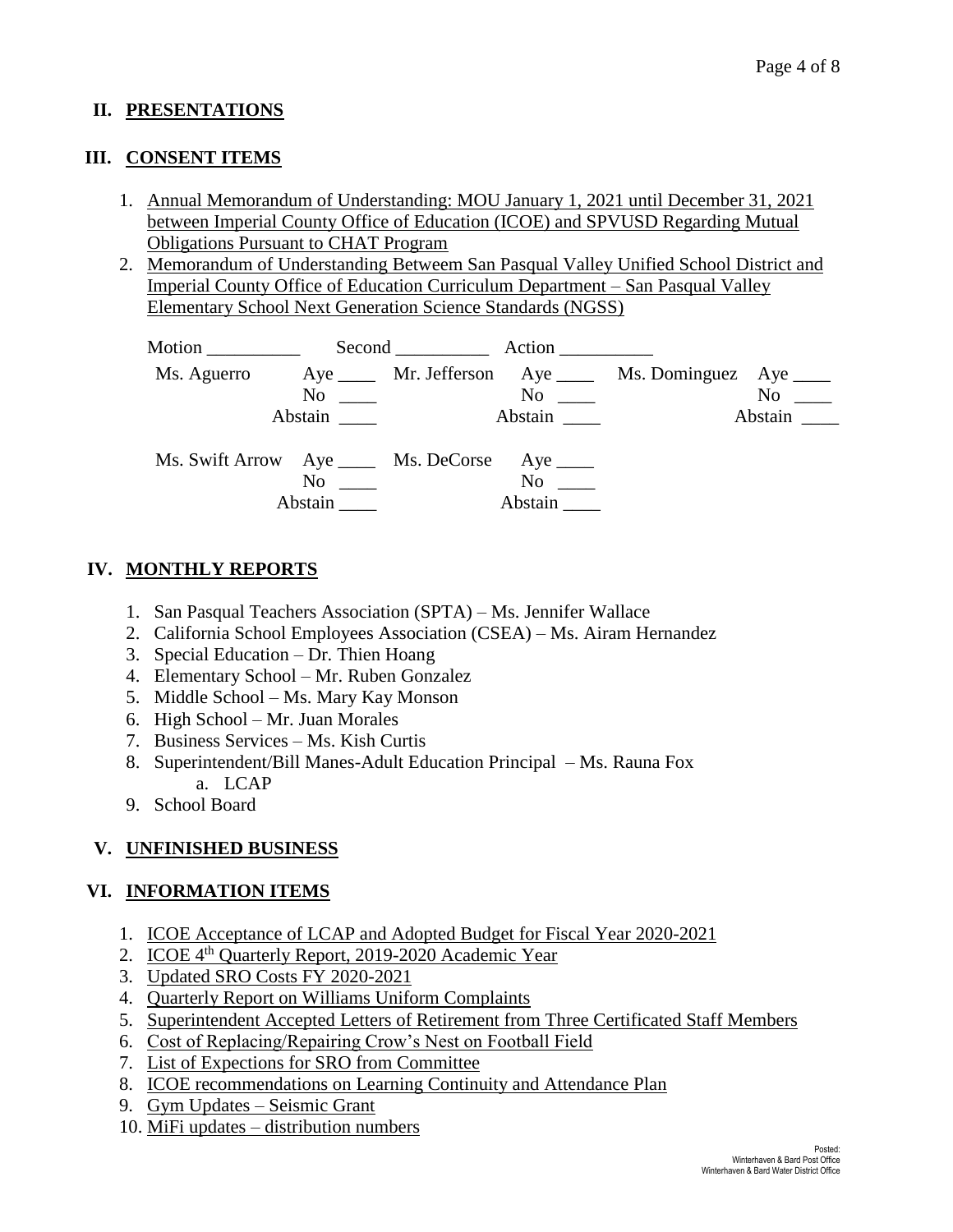### **II. PRESENTATIONS**

### **III. CONSENT ITEMS**

- 1. Annual Memorandum of Understanding: MOU January 1, 2021 until December 31, 2021 between Imperial County Office of Education (ICOE) and SPVUSD Regarding Mutual Obligations Pursuant to CHAT Program
- 2. Memorandum of Understanding Betweem San Pasqual Valley Unified School District and Imperial County Office of Education Curriculum Department – San Pasqual Valley Elementary School Next Generation Science Standards (NGSS)

| Motion $\frac{1}{\sqrt{1-\frac{1}{2}}\cdot\frac{1}{\sqrt{1-\frac{1}{2}}}}$ |                                                                 | Second Action                                                                                                                                                                                                                  |                                                                                                                                                                                                                                                                                                        |
|----------------------------------------------------------------------------|-----------------------------------------------------------------|--------------------------------------------------------------------------------------------------------------------------------------------------------------------------------------------------------------------------------|--------------------------------------------------------------------------------------------------------------------------------------------------------------------------------------------------------------------------------------------------------------------------------------------------------|
| Ms. Aguerro                                                                | $No \ \_$<br>Abstain                                            | No new contract the North State of the North State and State and State and State and State and State and State and State and State and State and State and State and State and State and State and State and State and State a | Aye ______ Mr. Jefferson Aye _____ Ms. Dominguez Aye _____<br>No note that the set of the set of the set of the set of the set of the set of the set of the set of the set of the set of the set of the set of the set of the set of the set of the set of the set of the set of the set of<br>Abstain |
|                                                                            | Ms. Swift Arrow Aye _____ Ms. DeCorse Aye ____<br>No<br>Abstain | No<br>Abstain                                                                                                                                                                                                                  |                                                                                                                                                                                                                                                                                                        |

# **IV. MONTHLY REPORTS**

- 1. San Pasqual Teachers Association (SPTA) Ms. Jennifer Wallace
- 2. California School Employees Association (CSEA) Ms. Airam Hernandez
- 3. Special Education Dr. Thien Hoang
- 4. Elementary School Mr. Ruben Gonzalez
- 5. Middle School Ms. Mary Kay Monson
- 6. High School Mr. Juan Morales
- 7. Business Services Ms. Kish Curtis
- 8. Superintendent/Bill Manes-Adult Education Principal Ms. Rauna Fox a. LCAP
- 9. School Board

### **V. UNFINISHED BUSINESS**

### **VI. INFORMATION ITEMS**

- 1. ICOE Acceptance of LCAP and Adopted Budget for Fiscal Year 2020-2021
- 2. ICOE 4<sup>th</sup> Quarterly Report, 2019-2020 Academic Year
- 3. Updated SRO Costs FY 2020-2021
- 4. Quarterly Report on Williams Uniform Complaints
- 5. Superintendent Accepted Letters of Retirement from Three Certificated Staff Members
- 6. Cost of Replacing/Repairing Crow's Nest on Football Field
- 7. List of Expections for SRO from Committee
- 8. ICOE recommendations on Learning Continuity and Attendance Plan
- 9. Gym Updates Seismic Grant
- 10. MiFi updates distribution numbers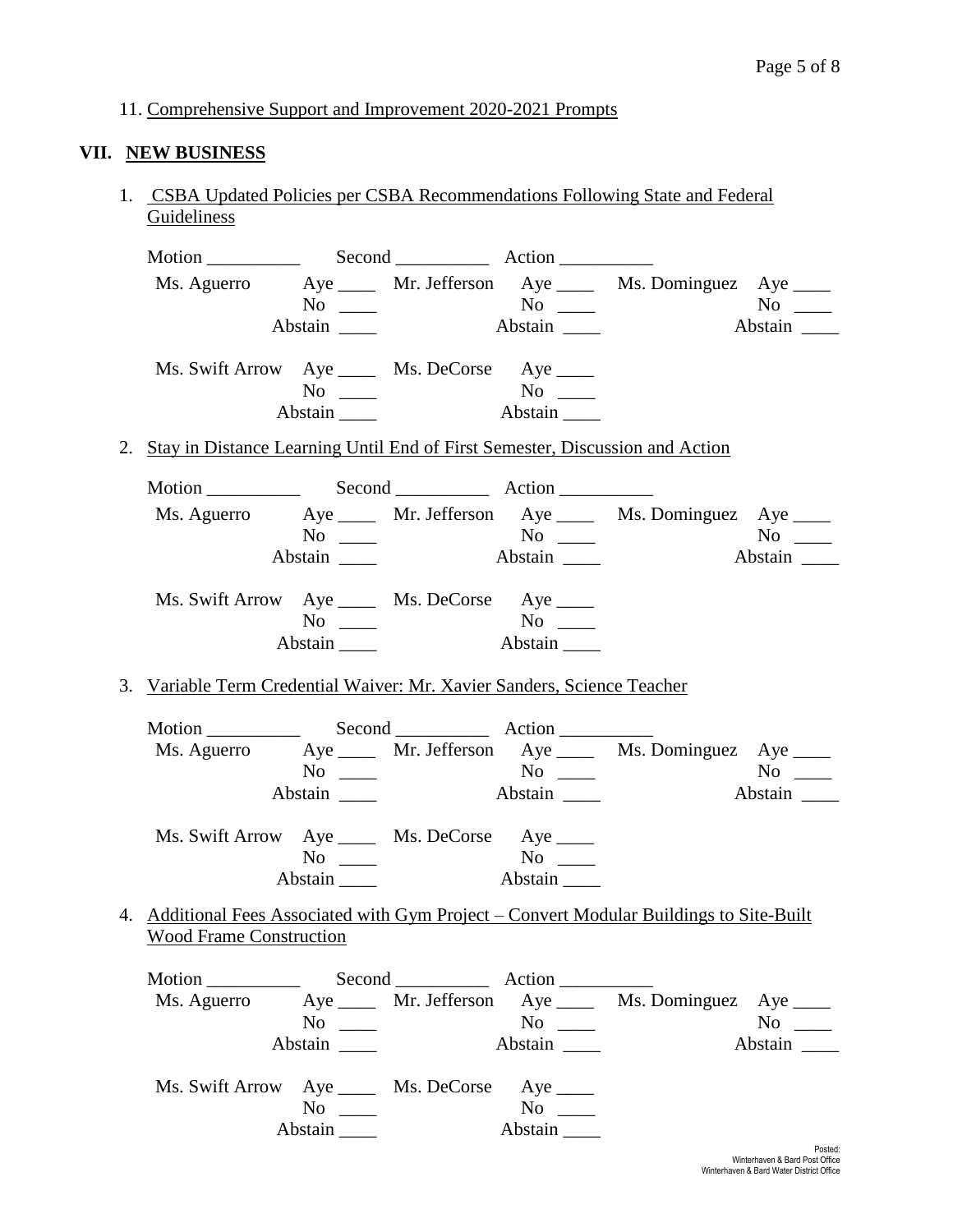11. Comprehensive Support and Improvement 2020-2021 Prompts

# **VII. NEW BUSINESS**

1. CSBA Updated Policies per CSBA Recommendations Following State and Federal **Guideliness** 

|                                                                                 |                                  |                                               | Ms. Aguerro Aye ____ Mr. Jefferson Aye ____ Ms. Dominguez Aye ____                       |               |
|---------------------------------------------------------------------------------|----------------------------------|-----------------------------------------------|------------------------------------------------------------------------------------------|---------------|
|                                                                                 |                                  | $\rm No$ $\rm \_\_\_\$ $\rm No$ $\rm \_\_\_\$ |                                                                                          | $No \ \_$     |
|                                                                                 |                                  | Abstain                                       |                                                                                          |               |
| Ms. Swift Arrow Aye _____ Ms. DeCorse Aye ____                                  |                                  |                                               |                                                                                          |               |
|                                                                                 |                                  |                                               |                                                                                          |               |
|                                                                                 | Abstain $\_\_\_\_\$              |                                               |                                                                                          |               |
| 2. Stay in Distance Learning Until End of First Semester, Discussion and Action |                                  |                                               |                                                                                          |               |
|                                                                                 |                                  |                                               |                                                                                          |               |
|                                                                                 |                                  |                                               | Ms. Aguerro Aye _____ Mr. Jefferson Aye _____ Ms. Dominguez Aye ____                     |               |
|                                                                                 |                                  | $No \ \_\_\_\$ No $\_\_\_\$                   |                                                                                          | $No \_$       |
|                                                                                 | Abstain                          | Abstain                                       |                                                                                          | Abstain       |
| Ms. Swift Arrow Aye _____ Ms. DeCorse Aye ____                                  |                                  |                                               |                                                                                          |               |
|                                                                                 |                                  |                                               |                                                                                          |               |
|                                                                                 |                                  | Abstain                                       |                                                                                          |               |
| 3. Variable Term Credential Waiver: Mr. Xavier Sanders, Science Teacher         |                                  |                                               |                                                                                          |               |
|                                                                                 |                                  |                                               |                                                                                          |               |
|                                                                                 |                                  |                                               |                                                                                          |               |
|                                                                                 | $No \ \_$                        |                                               | Ms. Aguerro Aye _____ Mr. Jefferson Aye _____ Ms. Dominguez Aye ____                     | $No \ \_$     |
|                                                                                 | Abstain _______                  |                                               |                                                                                          | Abstain       |
|                                                                                 |                                  |                                               |                                                                                          |               |
| Ms. Swift Arrow Aye _____ Ms. DeCorse Aye ____                                  |                                  |                                               |                                                                                          |               |
|                                                                                 | $No \ \_$<br>Abstain $\_\_\_\_\$ | No<br>Abstain                                 |                                                                                          |               |
|                                                                                 |                                  |                                               |                                                                                          |               |
|                                                                                 |                                  |                                               | 4. Additional Fees Associated with Gym Project – Convert Modular Buildings to Site-Built |               |
| <b>Wood Frame Construction</b>                                                  |                                  |                                               |                                                                                          |               |
|                                                                                 |                                  |                                               |                                                                                          |               |
|                                                                                 |                                  |                                               | Ms. Aguerro Aye _____ Mr. Jefferson Aye _____ Ms. Dominguez Aye ____                     |               |
|                                                                                 | $No \ \_$                        | $No \_\_$                                     |                                                                                          | No $\qquad$   |
|                                                                                 | Abstain                          | Abstain                                       |                                                                                          | Abstain       |
| Ms. Swift Arrow Aye _____ Ms. DeCorse Aye ____                                  |                                  |                                               |                                                                                          |               |
|                                                                                 | $No \ \_$                        | $No \ \_$                                     |                                                                                          |               |
|                                                                                 | Abstain                          | Abstain                                       |                                                                                          |               |
|                                                                                 |                                  |                                               |                                                                                          | <b>Doctod</b> |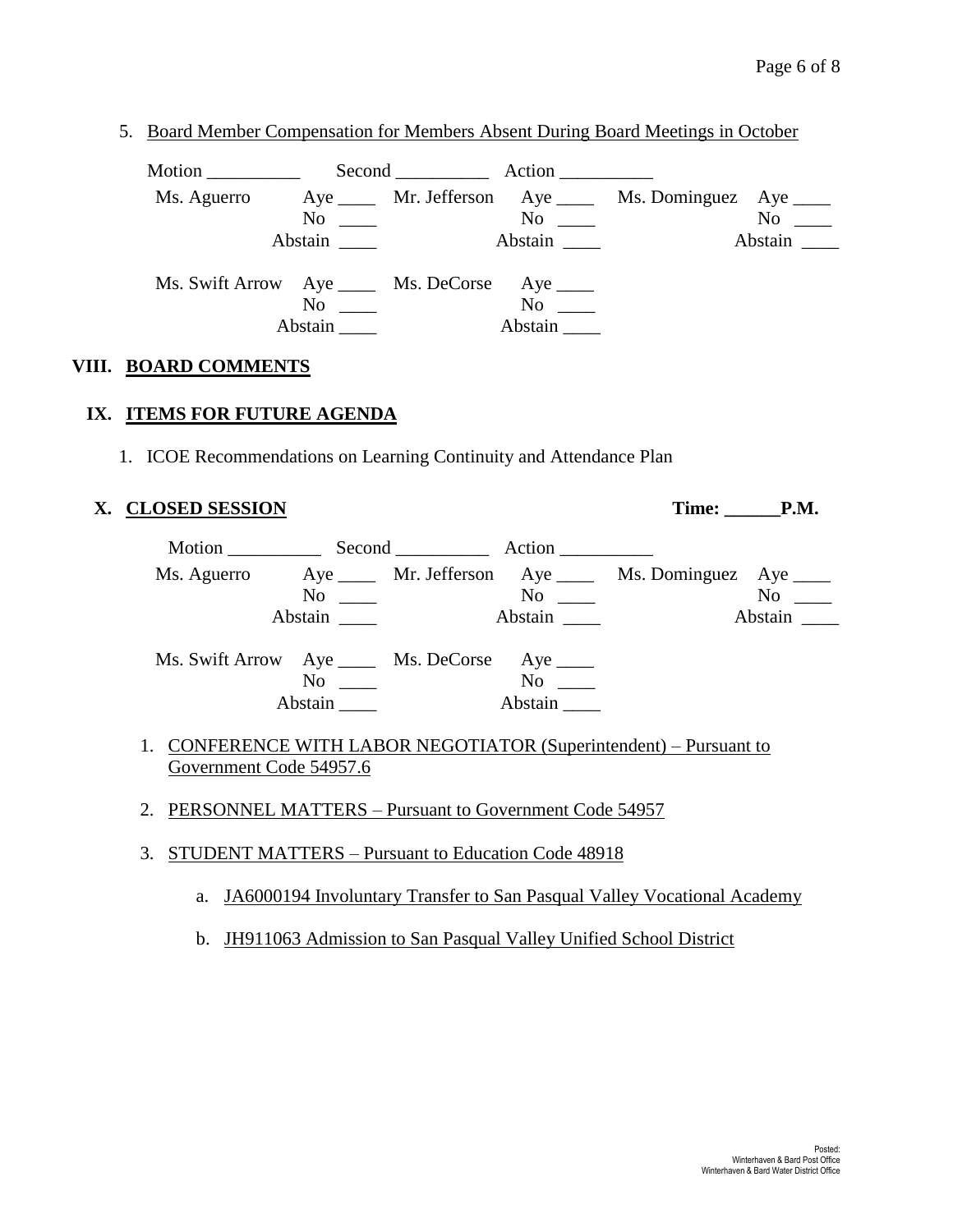5. Board Member Compensation for Members Absent During Board Meetings in October

Motion \_\_\_\_\_\_\_\_\_\_ Second \_\_\_\_\_\_\_\_\_\_ Action \_\_\_\_\_\_\_\_\_\_ Ms. Aguerro Aye Mr. Jefferson Aye Ms. Dominguez Aye No \_\_\_ No \_\_ No \_\_ No \_\_ No \_\_ Abstain **Abstain Abstain Abstain** Ms. Swift Arrow Aye \_\_\_\_ Ms. DeCorse Aye \_\_\_\_ No \_\_\_\_ No \_\_\_ Abstain \_\_\_\_\_ Abstain \_\_\_\_

### **VIII. BOARD COMMENTS**

### **IX. ITEMS FOR FUTURE AGENDA**

1. ICOE Recommendations on Learning Continuity and Attendance Plan

# **X. CLOSED SESSION Time: \_\_\_\_\_\_P.M.**

Motion \_\_\_\_\_\_\_\_\_\_\_\_\_\_\_ Second \_\_\_\_\_\_\_\_\_\_\_\_\_\_ Action \_\_\_\_\_\_\_\_\_\_ Ms. Aguerro Aye \_\_\_\_ Mr. Jefferson Aye \_\_\_\_ Ms. Dominguez Aye \_\_\_\_ No \_\_\_ No \_\_ No \_\_ No \_\_ Abstain \_\_\_\_ Abstain \_\_\_ Abstain \_\_\_ Abstain \_\_\_ Ms. Swift Arrow Aye \_\_\_\_ Ms. DeCorse Aye \_\_\_\_ No \_\_\_\_ No \_\_\_ Abstain \_\_\_\_ Abstain \_\_\_

- 1. CONFERENCE WITH LABOR NEGOTIATOR (Superintendent) Pursuant to Government Code 54957.6
- 2. PERSONNEL MATTERS Pursuant to Government Code 54957
- 3. STUDENT MATTERS Pursuant to Education Code 48918
	- a. JA6000194 Involuntary Transfer to San Pasqual Valley Vocational Academy
	- b. JH911063 Admission to San Pasqual Valley Unified School District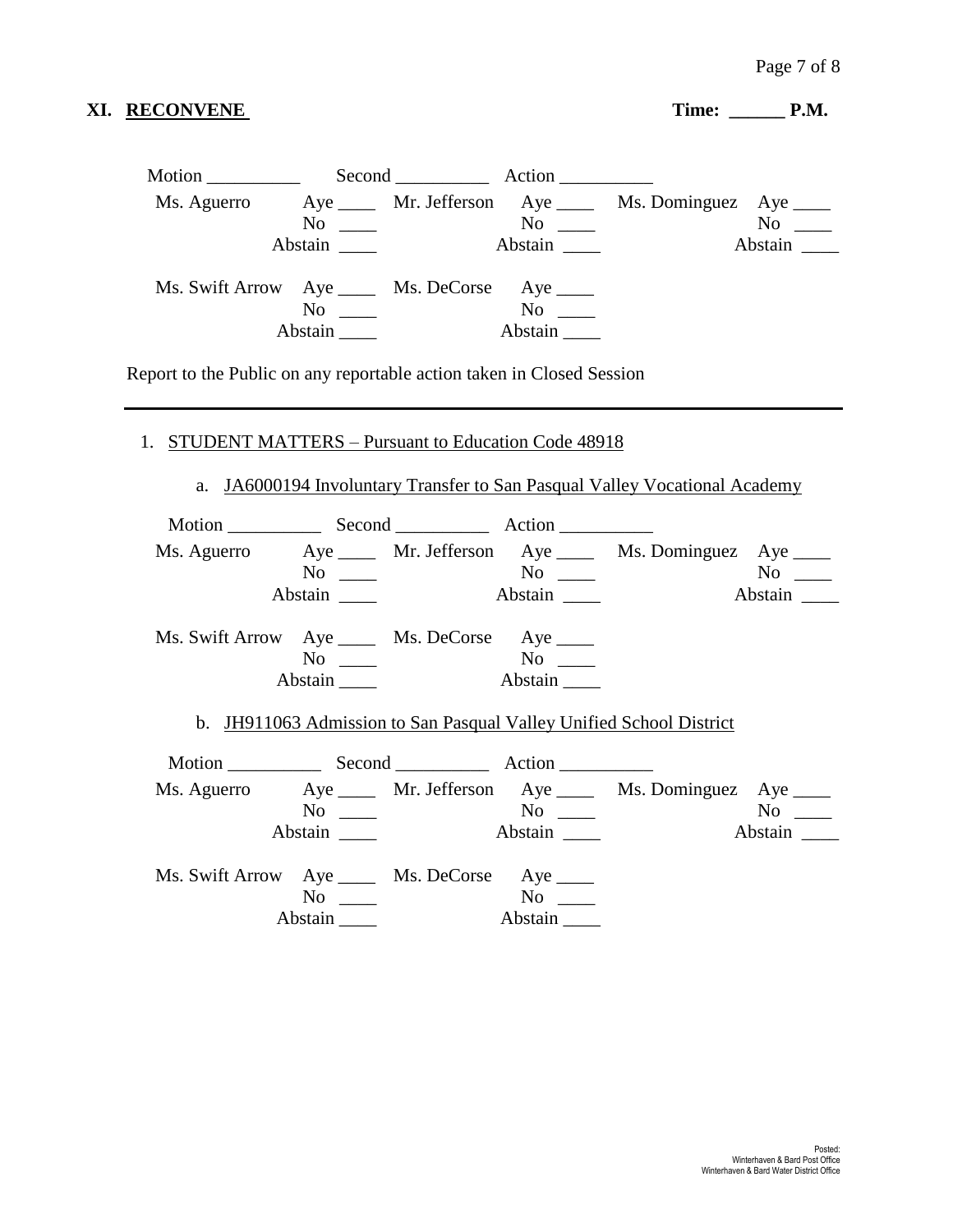# XI. RECONVENE Time: \_\_\_\_\_\_ P.M.

|             |                                                | Second Action |                                                            |
|-------------|------------------------------------------------|---------------|------------------------------------------------------------|
| Ms. Aguerro |                                                |               | Aye ______ Mr. Jefferson Aye _____ Ms. Dominguez Aye _____ |
|             | $No \ \_$                                      | $No \ \_$     | $No \_$                                                    |
|             | Abstain                                        | Abstain       | Abstain                                                    |
|             | Ms. Swift Arrow Aye _____ Ms. DeCorse Aye ____ |               |                                                            |
|             | $\mathrm{No} \quad \_\_\_\$                    | No            |                                                            |
|             | Abstain                                        | Abstain       |                                                            |

Report to the Public on any reportable action taken in Closed Session

# 1. STUDENT MATTERS – Pursuant to Education Code 48918

a. JA6000194 Involuntary Transfer to San Pasqual Valley Vocational Academy

| Motion Second Action                           |           |                |         |                                                                      |                        |
|------------------------------------------------|-----------|----------------|---------|----------------------------------------------------------------------|------------------------|
|                                                |           |                |         | Ms. Aguerro Aye _____ Mr. Jefferson Aye _____ Ms. Dominguez Aye ____ |                        |
|                                                | $No \ \_$ |                |         |                                                                      |                        |
|                                                | Abstain   |                |         |                                                                      | Abstain                |
| Ms. Swift Arrow Aye _____ Ms. DeCorse Aye ____ |           |                |         |                                                                      |                        |
|                                                | $No \_$   |                |         |                                                                      |                        |
|                                                | Abstain   | <b>Abstain</b> |         |                                                                      |                        |
|                                                |           |                |         | b. JH911063 Admission to San Pasqual Valley Unified School District  |                        |
|                                                |           |                |         | Ms. Aguerro Aye ____ Mr. Jefferson Aye ____ Ms. Dominguez Aye ____   |                        |
|                                                | $No \_\_$ |                |         |                                                                      | $\mathbf{N}\mathbf{o}$ |
|                                                | Abstain   |                | Abstain |                                                                      | Abstain                |
| Ms. Swift Arrow Aye _____ Ms. DeCorse Aye ____ |           |                |         |                                                                      |                        |
|                                                | $No \_\_$ |                |         |                                                                      |                        |
|                                                | Abstain   |                | Abstain |                                                                      |                        |